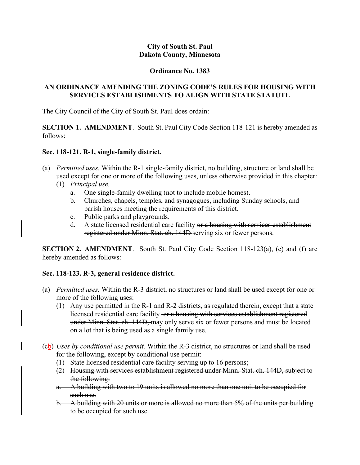## **City of South St. Paul Dakota County, Minnesota**

### **Ordinance No. 1383**

### **AN ORDINANCE AMENDING THE ZONING CODE'S RULES FOR HOUSING WITH SERVICES ESTABLISHMENTS TO ALIGN WITH STATE STATUTE**

The City Council of the City of South St. Paul does ordain:

**SECTION 1. AMENDMENT**. South St. Paul City Code Section 118-121 is hereby amended as follows:

## **Sec. 118-121. R-1, single-family district.**

- (a) *Permitted uses.* Within the R-1 single-family district, no building, structure or land shall be used except for one or more of the following uses, unless otherwise provided in this chapter:
	- (1) *Principal use.*
		- a. One single-family dwelling (not to include mobile homes).
		- b. Churches, chapels, temples, and synagogues, including Sunday schools, and parish houses meeting the requirements of this district.
		- c. Public parks and playgrounds.
		- d. A state licensed residential care facility or a housing with services establishment registered under Minn. Stat. ch. 144D serving six or fewer persons.

**SECTION 2. AMENDMENT**. South St. Paul City Code Section 118-123(a), (c) and (f) are hereby amended as follows:

# **Sec. 118-123. R-3, general residence district.**

- (a) *Permitted uses.* Within the R-3 district, no structures or land shall be used except for one or more of the following uses:
	- (1) Any use permitted in the R-1 and R-2 districts, as regulated therein, except that a state licensed residential care facility or a housing with services establishment registered under Minn. Stat. ch. 144D, may only serve six or fewer persons and must be located on a lot that is being used as a single family use.
- (cb) *Uses by conditional use permit.* Within the R-3 district, no structures or land shall be used for the following, except by conditional use permit:
	- (1) State licensed residential care facility serving up to 16 persons;
	- (2) Housing with services establishment registered under Minn. Stat. ch. 144D, subject to the following:
	- a. A building with two to 19 units is allowed no more than one unit to be occupied for such use.
	- b. A building with 20 units or more is allowed no more than 5% of the units per building to be occupied for such use.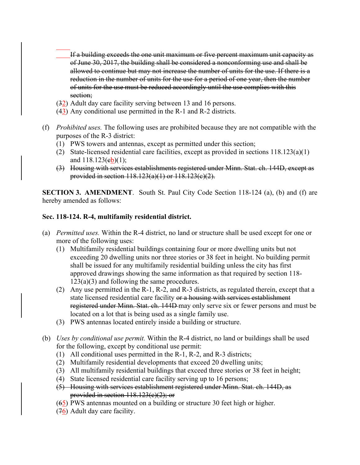- If a building exceeds the one unit maximum or five percent maximum unit capacity as of June 30, 2017, the building shall be considered a nonconforming use and shall be allowed to continue but may not increase the number of units for the use. If there is a reduction in the number of units for the use for a period of one year, then the number of units for the use must be reduced accordingly until the use complies with this section;
- (32) Adult day care facility serving between 13 and 16 persons.
- (43) Any conditional use permitted in the R-1 and R-2 districts.
- (f) *Prohibited uses.* The following uses are prohibited because they are not compatible with the purposes of the R-3 district:
	- (1) PWS towers and antennas, except as permitted under this section;
	- (2) State-licensed residential care facilities, except as provided in sections  $118.123(a)(1)$ and  $118.123(eb)(1)$ ;
	- (3) Housing with services establishments registered under Minn. Stat. ch. 144D, except as provided in section 118.123(a)(1) or 118.123(c)(2).

**SECTION 3. AMENDMENT**. South St. Paul City Code Section 118-124 (a), (b) and (f) are hereby amended as follows:

# **Sec. 118-124. R-4, multifamily residential district.**

 $\overline{\phantom{0}}$ 

- (a) *Permitted uses.* Within the R-4 district, no land or structure shall be used except for one or more of the following uses:
	- (1) Multifamily residential buildings containing four or more dwelling units but not exceeding 20 dwelling units nor three stories or 38 feet in height. No building permit shall be issued for any multifamily residential building unless the city has first approved drawings showing the same information as that required by section 118- 123(a)(3) and following the same procedures.
	- (2) Any use permitted in the R-1, R-2, and R-3 districts, as regulated therein, except that a state licensed residential care facility or a housing with services establishment registered under Minn. Stat. ch. 144D may only serve six or fewer persons and must be located on a lot that is being used as a single family use.
	- (3) PWS antennas located entirely inside a building or structure.
- (b) *Uses by conditional use permit.* Within the R-4 district, no land or buildings shall be used for the following, except by conditional use permit:
	- (1) All conditional uses permitted in the R-1, R-2, and R-3 districts;
	- (2) Multifamily residential developments that exceed 20 dwelling units;
	- (3) All multifamily residential buildings that exceed three stories or 38 feet in height;
	- (4) State licensed residential care facility serving up to 16 persons;
	- (5) Housing with services establishment registered under Minn. Stat. ch. 144D, as provided in section 118.123(c)(2); or
	- (65) PWS antennas mounted on a building or structure 30 feet high or higher.
	- $(76)$  Adult day care facility.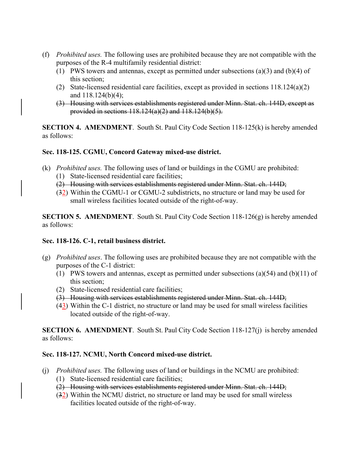- (f) *Prohibited uses.* The following uses are prohibited because they are not compatible with the purposes of the R-4 multifamily residential district:
	- (1) PWS towers and antennas, except as permitted under subsections  $(a)(3)$  and  $(b)(4)$  of this section;
	- (2) State-licensed residential care facilities, except as provided in sections 118.124(a)(2) and 118.124(b)(4);
	- (3) Housing with services establishments registered under Minn. Stat. ch. 144D, except as provided in sections 118.124(a)(2) and 118.124(b)(5).

**SECTION 4. AMENDMENT**. South St. Paul City Code Section 118-125(k) is hereby amended as follows:

## **Sec. 118-125. CGMU, Concord Gateway mixed-use district.**

- (k) *Prohibited uses.* The following uses of land or buildings in the CGMU are prohibited:
	- (1) State-licensed residential care facilities;
	- (2) Housing with services establishments registered under Minn. Stat. ch. 144D;
	- (32) Within the CGMU-1 or CGMU-2 subdistricts, no structure or land may be used for small wireless facilities located outside of the right-of-way.

**SECTION 5. AMENDMENT**. South St. Paul City Code Section 118-126(g) is hereby amended as follows:

### **Sec. 118-126. C-1, retail business district.**

- (g) *Prohibited uses*. The following uses are prohibited because they are not compatible with the purposes of the C-1 district:
	- (1) PWS towers and antennas, except as permitted under subsections (a)(54) and (b)(11) of this section;
	- (2) State-licensed residential care facilities;
	- (3) Housing with services establishments registered under Minn. Stat. ch. 144D;
	- $(43)$  Within the C-1 district, no structure or land may be used for small wireless facilities located outside of the right-of-way.

**SECTION 6. AMENDMENT.** South St. Paul City Code Section 118-127(j) is hereby amended as follows:

# **Sec. 118-127. NCMU, North Concord mixed-use district.**

- (j) *Prohibited uses.* The following uses of land or buildings in the NCMU are prohibited:
	- (1) State-licensed residential care facilities;
	- (2) Housing with services establishments registered under Minn. Stat. ch. 144D;
	- $(32)$  Within the NCMU district, no structure or land may be used for small wireless facilities located outside of the right-of-way.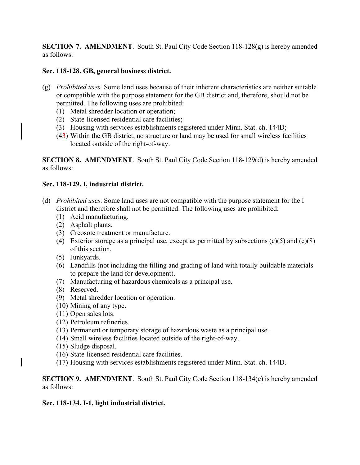**SECTION 7. AMENDMENT**. South St. Paul City Code Section 118-128(g) is hereby amended as follows:

## **Sec. 118-128. GB, general business district.**

- (g) *Prohibited uses.* Some land uses because of their inherent characteristics are neither suitable or compatible with the purpose statement for the GB district and, therefore, should not be permitted. The following uses are prohibited:
	- (1) Metal shredder location or operation;
	- (2) State-licensed residential care facilities;
	- (3) Housing with services establishments registered under Minn. Stat. ch. 144D;
	- (43) Within the GB district, no structure or land may be used for small wireless facilities located outside of the right-of-way.

**SECTION 8. AMENDMENT**. South St. Paul City Code Section 118-129(d) is hereby amended as follows:

### **Sec. 118-129. I, industrial district.**

- (d) *Prohibited uses*. Some land uses are not compatible with the purpose statement for the I district and therefore shall not be permitted. The following uses are prohibited:
	- (1) Acid manufacturing.
	- (2) Asphalt plants.
	- (3) Creosote treatment or manufacture.
	- (4) Exterior storage as a principal use, except as permitted by subsections  $(c)(5)$  and  $(c)(8)$ of this section.
	- (5) Junkyards.
	- (6) Landfills (not including the filling and grading of land with totally buildable materials to prepare the land for development).
	- (7) Manufacturing of hazardous chemicals as a principal use.
	- (8) Reserved.
	- (9) Metal shredder location or operation.
	- (10) Mining of any type.
	- (11) Open sales lots.
	- (12) Petroleum refineries.
	- (13) Permanent or temporary storage of hazardous waste as a principal use.
	- (14) Small wireless facilities located outside of the right-of-way.
	- (15) Sludge disposal.
	- (16) State-licensed residential care facilities.
	- (17) Housing with services establishments registered under Minn. Stat. ch. 144D.

**SECTION 9. AMENDMENT**. South St. Paul City Code Section 118-134(e) is hereby amended as follows:

### **Sec. 118-134. I-1, light industrial district.**